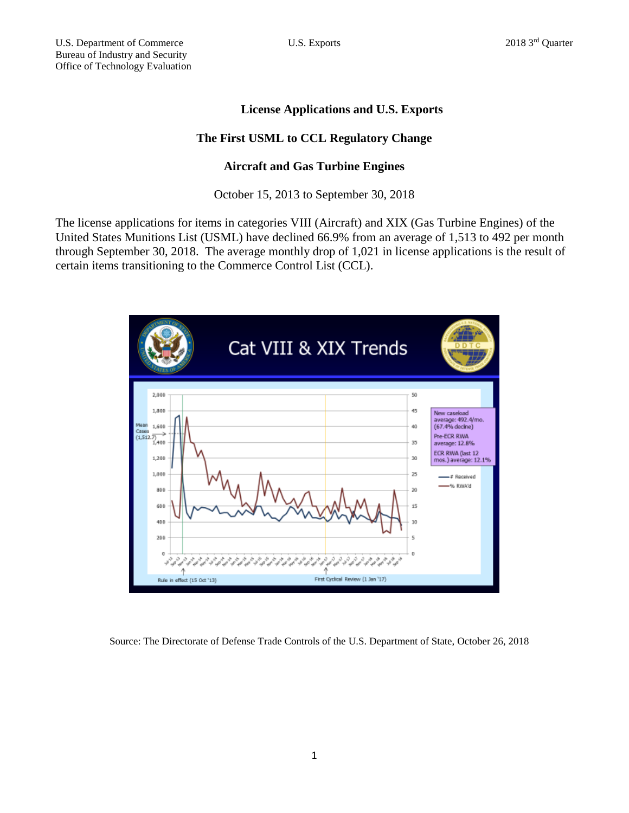## **License Applications and U.S. Exports**

## **The First USML to CCL Regulatory Change**

## **Aircraft and Gas Turbine Engines**

October 15, 2013 to September 30, 2018

The license applications for items in categories VIII (Aircraft) and XIX (Gas Turbine Engines) of the United States Munitions List (USML) have declined 66.9% from an average of 1,513 to 492 per month through September 30, 2018. The average monthly drop of 1,021 in license applications is the result of certain items transitioning to the Commerce Control List (CCL).



Source: The Directorate of Defense Trade Controls of the U.S. Department of State, October 26, 2018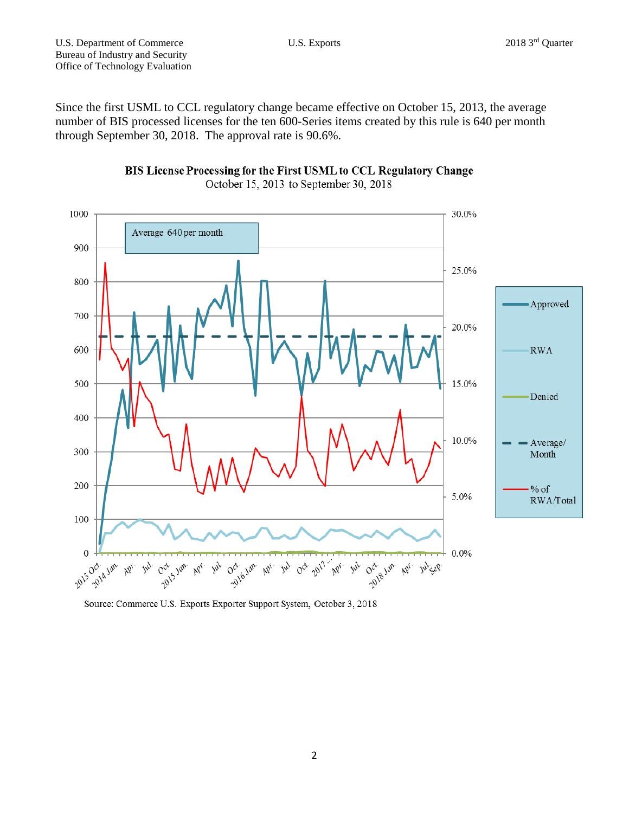Since the first USML to CCL regulatory change became effective on October 15, 2013, the average number of BIS processed licenses for the ten 600-Series items created by this rule is 640 per month through September 30, 2018. The approval rate is 90.6%.





Source: Commerce U.S. Exports Exporter Support System, October 3, 2018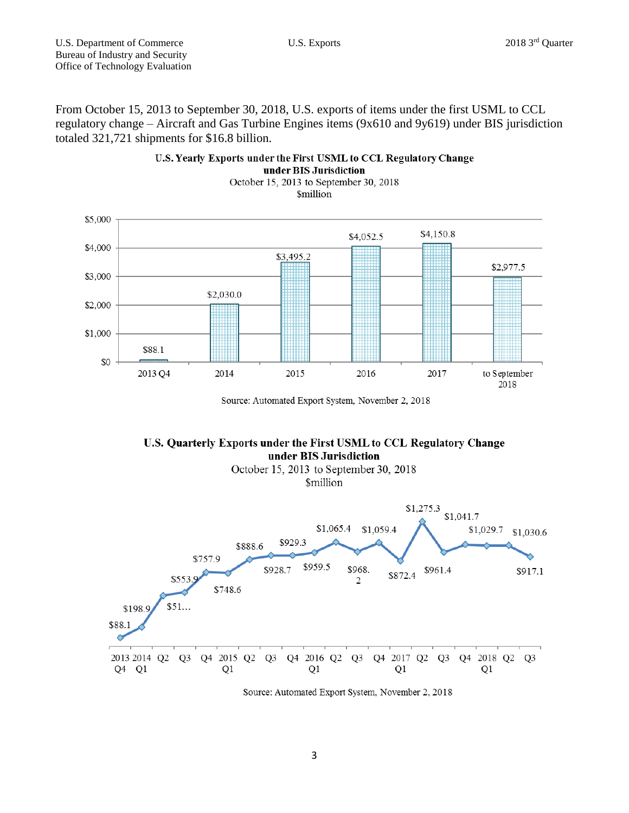From October 15, 2013 to September 30, 2018, U.S. exports of items under the first USML to CCL regulatory change – Aircraft and Gas Turbine Engines items (9x610 and 9y619) under BIS jurisdiction totaled 321,721 shipments for \$16.8 billion.



U.S. Yearly Exports under the First USML to CCL Regulatory Change under BIS Jurisdiction

Source: Automated Export System, November 2, 2018





Source: Automated Export System, November 2, 2018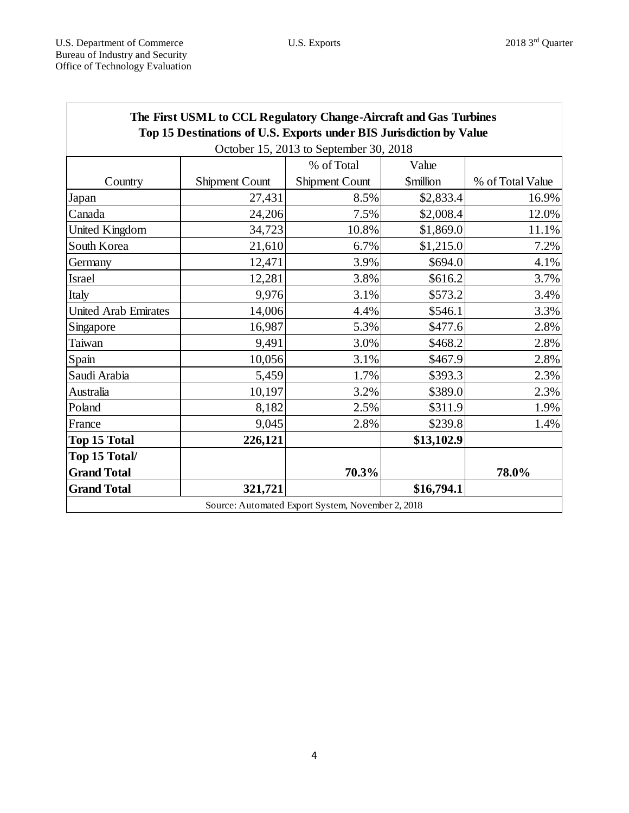| The First USML to CCL Regulatory Change-Aircraft and Gas Turbines<br>Top 15 Destinations of U.S. Exports under BIS Jurisdiction by Value |                       |                       |                               |                  |
|------------------------------------------------------------------------------------------------------------------------------------------|-----------------------|-----------------------|-------------------------------|------------------|
| October 15, 2013 to September 30, 2018                                                                                                   |                       |                       |                               |                  |
|                                                                                                                                          |                       | % of Total            | Value                         |                  |
| Country                                                                                                                                  | <b>Shipment Count</b> | <b>Shipment Count</b> | <b><i><u>Smillion</u></i></b> | % of Total Value |
| Japan                                                                                                                                    | 27,431                | 8.5%                  | \$2,833.4                     | 16.9%            |
| Canada                                                                                                                                   | 24,206                | 7.5%                  | \$2,008.4                     | 12.0%            |
| United Kingdom                                                                                                                           | 34,723                | 10.8%                 | \$1,869.0                     | 11.1%            |
| South Korea                                                                                                                              | 21,610                | 6.7%                  | \$1,215.0                     | 7.2%             |
| Germany                                                                                                                                  | 12,471                | 3.9%                  | \$694.0                       | 4.1%             |
| <b>Israel</b>                                                                                                                            | 12,281                | 3.8%                  | \$616.2                       | 3.7%             |
| Italy                                                                                                                                    | 9,976                 | 3.1%                  | \$573.2                       | 3.4%             |
| <b>United Arab Emirates</b>                                                                                                              | 14,006                | 4.4%                  | \$546.1                       | 3.3%             |
| Singapore                                                                                                                                | 16,987                | 5.3%                  | \$477.6                       | 2.8%             |
| Taiwan                                                                                                                                   | 9,491                 | 3.0%                  | \$468.2                       | 2.8%             |
| Spain                                                                                                                                    | 10,056                | 3.1%                  | \$467.9                       | 2.8%             |
| Saudi Arabia                                                                                                                             | 5,459                 | 1.7%                  | \$393.3                       | 2.3%             |
| Australia                                                                                                                                | 10,197                | 3.2%                  | \$389.0                       | 2.3%             |
| Poland                                                                                                                                   | 8,182                 | 2.5%                  | \$311.9                       | 1.9%             |
| France                                                                                                                                   | 9,045                 | 2.8%                  | \$239.8                       | 1.4%             |
| <b>Top 15 Total</b>                                                                                                                      | 226,121               |                       | \$13,102.9                    |                  |
| Top 15 Total/                                                                                                                            |                       |                       |                               |                  |
| <b>Grand Total</b>                                                                                                                       |                       | 70.3%                 |                               | 78.0%            |
| <b>Grand Total</b>                                                                                                                       | 321,721               |                       | \$16,794.1                    |                  |
| Source: Automated Export System, November 2, 2018                                                                                        |                       |                       |                               |                  |